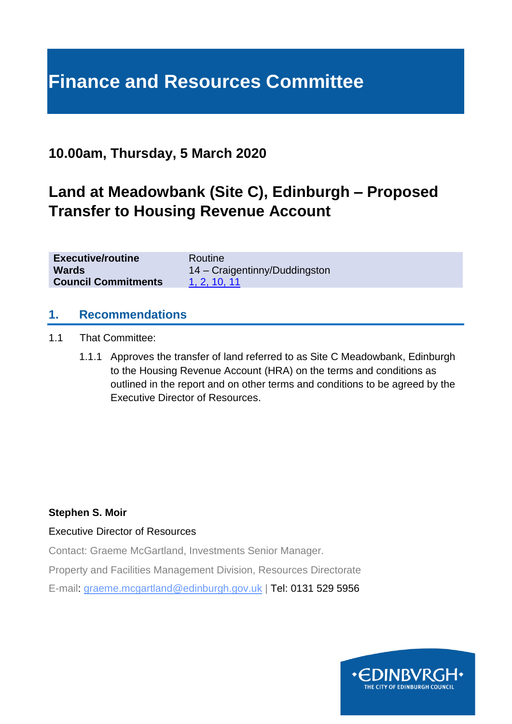# **Finance and Resources Committee**

### **10.00am, Thursday, 5 March 2020**

## **Land at Meadowbank (Site C), Edinburgh – Proposed Transfer to Housing Revenue Account**

| <b>Executive/routine</b>   | Routine                       |
|----------------------------|-------------------------------|
| <b>Wards</b>               | 14 - Craigentinny/Duddingston |
| <b>Council Commitments</b> | 1, 2, 10, 11                  |

#### **1. Recommendations**

- 1.1 That Committee:
	- 1.1.1 Approves the transfer of land referred to as Site C Meadowbank, Edinburgh to the Housing Revenue Account (HRA) on the terms and conditions as outlined in the report and on other terms and conditions to be agreed by the Executive Director of Resources.

#### **Stephen S. Moir**

#### Executive Director of Resources

Contact: Graeme McGartland, Investments Senior Manager.

Property and Facilities Management Division, Resources Directorate

E-mail: graeme.mcgartland@edinburgh.gov.uk | Tel: 0131 529 5956

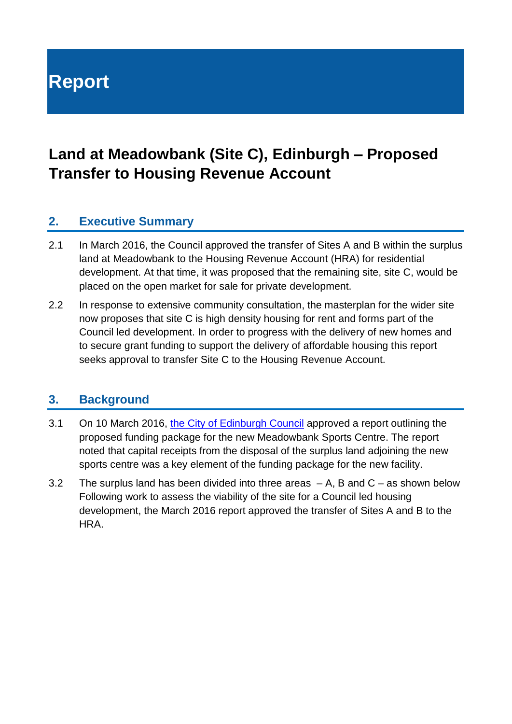# **Report**

## **Land at Meadowbank (Site C), Edinburgh – Proposed Transfer to Housing Revenue Account**

#### **2. Executive Summary**

- 2.1 In March 2016, the Council approved the transfer of Sites A and B within the surplus land at Meadowbank to the Housing Revenue Account (HRA) for residential development. At that time, it was proposed that the remaining site, site C, would be placed on the open market for sale for private development.
- 2.2 In response to extensive community consultation, the masterplan for the wider site now proposes that site C is high density housing for rent and forms part of the Council led development. In order to progress with the delivery of new homes and to secure grant funding to support the delivery of affordable housing this report seeks approval to transfer Site C to the Housing Revenue Account.

#### **3. Background**

- 3.1 On 10 March 2016, [the City of Edinburgh Council](https://democracy.edinburgh.gov.uk/Data/City%20of%20Edinburgh%20Council/20160310/Agenda/item_85_-_funding_package_proposal_for_a_new_meadowbank.pdf) approved a report outlining the proposed funding package for the new Meadowbank Sports Centre. The report noted that capital receipts from the disposal of the surplus land adjoining the new sports centre was a key element of the funding package for the new facility.
- 3.2 The surplus land has been divided into three areas  $-A$ , B and  $C -$  as shown below Following work to assess the viability of the site for a Council led housing development, the March 2016 report approved the transfer of Sites A and B to the **HRA**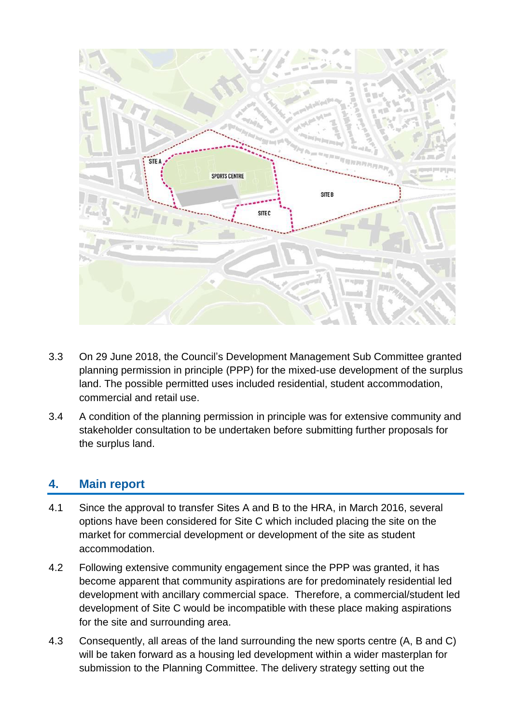

- 3.3 On 29 June 2018, the Council's Development Management Sub Committee granted planning permission in principle (PPP) for the mixed-use development of the surplus land. The possible permitted uses included residential, student accommodation, commercial and retail use.
- 3.4 A condition of the planning permission in principle was for extensive community and stakeholder consultation to be undertaken before submitting further proposals for the surplus land.

#### **4. Main report**

- 4.1 Since the approval to transfer Sites A and B to the HRA, in March 2016, several options have been considered for Site C which included placing the site on the market for commercial development or development of the site as student accommodation.
- 4.2 Following extensive community engagement since the PPP was granted, it has become apparent that community aspirations are for predominately residential led development with ancillary commercial space. Therefore, a commercial/student led development of Site C would be incompatible with these place making aspirations for the site and surrounding area.
- 4.3 Consequently, all areas of the land surrounding the new sports centre (A, B and C) will be taken forward as a housing led development within a wider masterplan for submission to the Planning Committee. The delivery strategy setting out the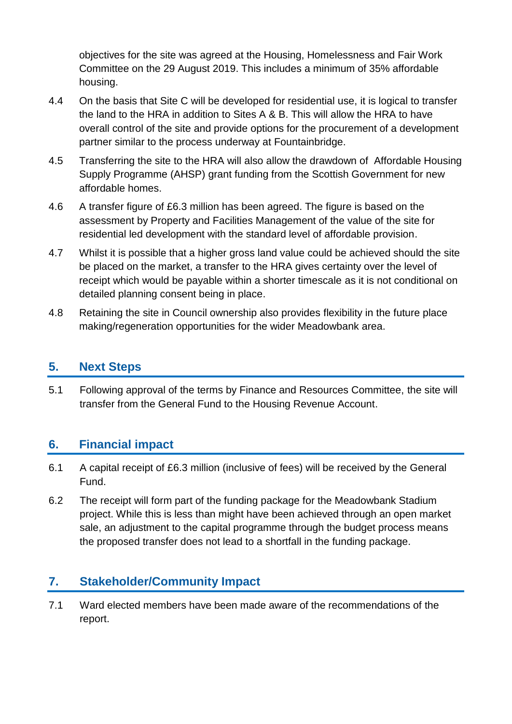objectives for the site was agreed at the Housing, Homelessness and Fair Work Committee on the 29 August 2019. This includes a minimum of 35% affordable housing.

- 4.4 On the basis that Site C will be developed for residential use, it is logical to transfer the land to the HRA in addition to Sites A & B. This will allow the HRA to have overall control of the site and provide options for the procurement of a development partner similar to the process underway at Fountainbridge.
- 4.5 Transferring the site to the HRA will also allow the drawdown of Affordable Housing Supply Programme (AHSP) grant funding from the Scottish Government for new affordable homes.
- 4.6 A transfer figure of £6.3 million has been agreed. The figure is based on the assessment by Property and Facilities Management of the value of the site for residential led development with the standard level of affordable provision.
- 4.7 Whilst it is possible that a higher gross land value could be achieved should the site be placed on the market, a transfer to the HRA gives certainty over the level of receipt which would be payable within a shorter timescale as it is not conditional on detailed planning consent being in place.
- 4.8 Retaining the site in Council ownership also provides flexibility in the future place making/regeneration opportunities for the wider Meadowbank area.

#### **5. Next Steps**

5.1 Following approval of the terms by Finance and Resources Committee, the site will transfer from the General Fund to the Housing Revenue Account.

#### **6. Financial impact**

- 6.1 A capital receipt of £6.3 million (inclusive of fees) will be received by the General Fund.
- 6.2 The receipt will form part of the funding package for the Meadowbank Stadium project. While this is less than might have been achieved through an open market sale, an adjustment to the capital programme through the budget process means the proposed transfer does not lead to a shortfall in the funding package.

### **7. Stakeholder/Community Impact**

7.1 Ward elected members have been made aware of the recommendations of the report.